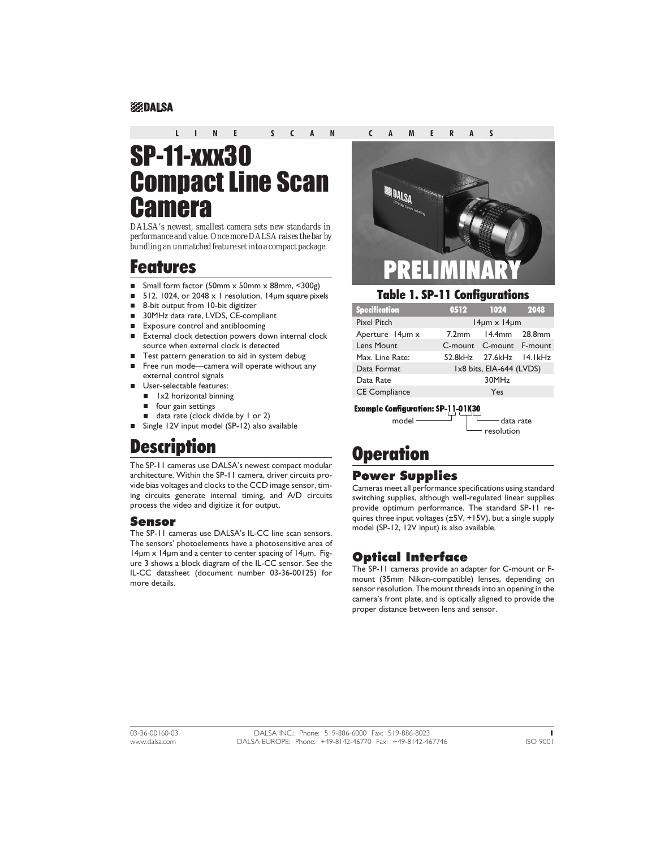#### **EXPIDALSA**

#### **LINE SCAN CAMERAS**

# SP-11-xxx30 Compact Line Scan **Camera**

*DALSA's newest, smallest camera sets new standards in performance and value. Once more DALSA raises the bar by bundling an unmatched feature set into a compact package.*

# Features

- nSmall form factor (50mm x 50mm x 88mm, <300g)
- n512, 1024, or 2048 x 1 resolution, 14um square pixels
- n8-bit output from 10-bit digitizer
- n30MHz data rate, LVDS, CE-compliant
- nExposure control and antiblooming
- n External clock detection powers down internal clock source when external clock is detected
- nTest pattern generation to aid in system debug
- n Free run mode—camera will operate without any external control signals
- n User-selectable features:
	- n 1x2 horizontal binning
	- **n** four gain settings
	- data rate (clock divide by 1 or 2)
- Single 12V input model (SP-12) also available

# **Description**

The SP-11 cameras use DALSA's newest compact modular architecture. Within the SP-11 camera, driver circuits provide bias voltages and clocks to the CCD image sensor, timing circuits generate internal timing, and A/D circuits process the video and digitize it for output.

#### Sensor

The SP-11 cameras use DALSA's IL-CC line scan sensors. The sensors' photoelements have a photosensitive area of 14µm x 14µm and a center to center spacing of 14µm. Figure 3 shows a block diagram of the IL-CC sensor. See the IL-CC datasheet (document number 03-36-00125) for more details.



#### Table 1. SP-11 Configurations

| <b>Specification</b> | 0512                       | 1024                     | 2048 |  |  |
|----------------------|----------------------------|--------------------------|------|--|--|
| <b>Pixel Pitch</b>   | $14 \mu m \times 14 \mu m$ |                          |      |  |  |
| Aperture 14um x      | $7.2$ mm                   | $14.4mm$ 28.8mm          |      |  |  |
| Lens Mount           |                            | C-mount C-mount F-mount  |      |  |  |
| Max. Line Rate:      |                            | 52.8kHz 27.6kHz 14.1kHz  |      |  |  |
| Data Format          |                            | Ix8 bits, EIA-644 (LVDS) |      |  |  |
| Data Rate            |                            | 30MHz                    |      |  |  |
| <b>CE Compliance</b> |                            | Yes                      |      |  |  |
|                      |                            |                          |      |  |  |

Example Configuration: SP-11-01K30

 $model$   $\qquad$   $\qquad$  data rate resolution

# **Operation**

### Power Supplies

Cameras meet all performance specifications using standard switching supplies, although well-regulated linear supplies provide optimum performance. The standard SP-11 requires three input voltages (±5V, +15V), but a single supply model (SP-12, 12V input) is also available.

## Optical Interface

The SP-11 cameras provide an adapter for C-mount or Fmount (35mm Nikon-compatible) lenses, depending on sensor resolution. The mount threads into an opening in the camera's front plate, and is optically aligned to provide the proper distance between lens and sensor.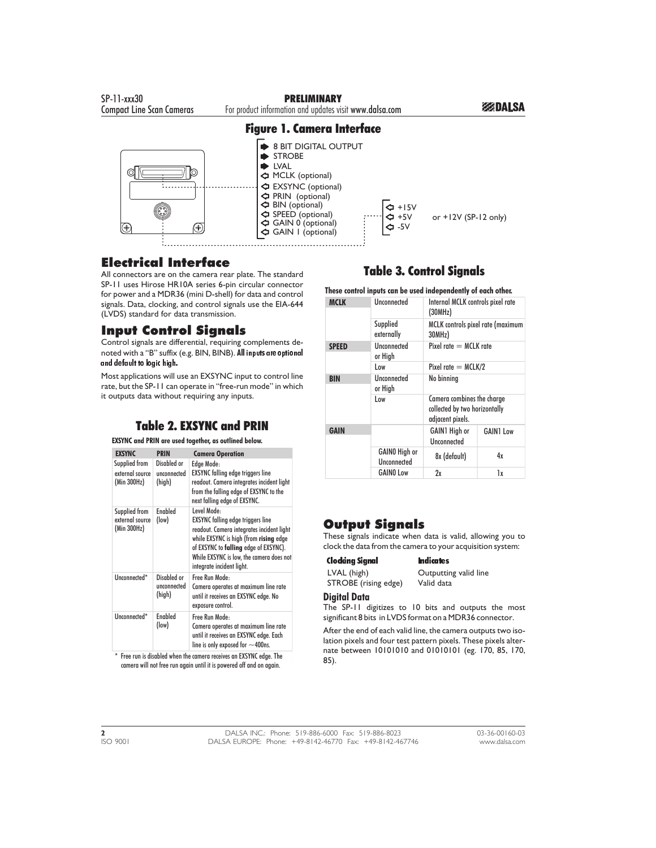

## Electrical Interface

All connectors are on the camera rear plate. The standard SP-11 uses Hirose HR10A series 6-pin circular connector for power and a MDR36 (mini D-shell) for data and control signals. Data, clocking, and control signals use the EIA-644 (LVDS) standard for data transmission.

## Input Control Signals

Control signals are differential, requiring complements denoted with a "B" suffix (e.g. BIN, BINB). All inputs are optional and default to logic high.

Most applications will use an EXSYNC input to control line rate, but the SP-11 can operate in "free-run mode" in which it outputs data without requiring any inputs.

## Table 2. EXSYNC and PRIN

#### **EXSYNC and PRIN are used together, as outlined below.**

| <b>EXSYNC</b>                                   | <b>PRIN</b>                          | <b>Camera Operation</b>                                                                                                                                                                                                                                          |
|-------------------------------------------------|--------------------------------------|------------------------------------------------------------------------------------------------------------------------------------------------------------------------------------------------------------------------------------------------------------------|
| Supplied from<br>external source<br>(Min 300Hz) | Disabled or<br>unconnected<br>(high) | Edge Mode:<br><b>EXSYNC</b> falling edge triggers line<br>readout. Camera integrates incident light<br>from the falling edge of EXSYNC to the<br>next falling edge of EXSYNC.                                                                                    |
| Supplied from<br>external source<br>(Min 300Hz) | <b>Fnabled</b><br>(low)              | Level Mode:<br><b>EXSYNC</b> falling edge triggers line<br>readout. Camera integrates incident light<br>while EXSYNC is high (from rising edge<br>of EXSYNC to falling edge of EXSYNC).<br>While EXSYNC is low, the camera does not<br>integrate incident light. |
| Unconnected*                                    | Disabled or<br>unconnected<br>(high) | Free Run Mode-<br>Camera operates at maximum line rate<br>until it receives an EXSYNC edge. No<br>exposure control.                                                                                                                                              |
| Unconnected*                                    | <b>Fnabled</b><br>(low)              | Free Run Mode:<br>Camera operates at maximum line rate<br>until it receives an EXSYNC edge. Each<br>line is only exposed for $\sim$ 400ns.                                                                                                                       |

\* Free run is disabled when the camera receives an EXSYNC edge. The camera will not free run again until it is powered off and on again.

## Table 3. Control Signals

**These control inputs can be used independently of each other.**

| <b>MCLK</b>  | Unconnected                         | Internal MCLK controls pixel rate<br>(30MHz)                                    |                  |  |
|--------------|-------------------------------------|---------------------------------------------------------------------------------|------------------|--|
|              | Supplied<br>externally              | MCLK controls pixel rate (maximum<br>30MHz)                                     |                  |  |
| <b>SPEED</b> | <b>Unconnected</b><br>or High       | Pixel rate $=$ MCLK rate                                                        |                  |  |
|              | l ow                                | Pixel rate $=$ MCLK/2                                                           |                  |  |
| <b>BIN</b>   | Unconnected<br>or High              | No binning                                                                      |                  |  |
|              | l ow                                | Camera combines the charge<br>collected by two horizontally<br>adjacent pixels. |                  |  |
| <b>GAIN</b>  |                                     | <b>GAIN1</b> High or<br>Unconnected                                             | <b>GAIN1 Low</b> |  |
|              | <b>GAINO High or</b><br>Unconnected | 8x (default)                                                                    | 4x               |  |
|              | <b>GAINO Low</b>                    | 2x                                                                              | lx               |  |

## Output Signals

These signals indicate when data is valid, allowing you to clock the data from the camera to your acquisition system:

### Clocking Signal Indicates

STROBE (rising edge)

LVAL (high) Outputting valid line<br>
STROBE (rising edge) Valid data

#### **Digital Data**

The SP-11 digitizes to 10 bits and outputs the most significant 8 bits in LVDS format on a MDR36 connector.

After the end of each valid line, the camera outputs two isolation pixels and four test pattern pixels. These pixels alternate between 10101010 and 01010101 (eg. 170, 85, 170, 85).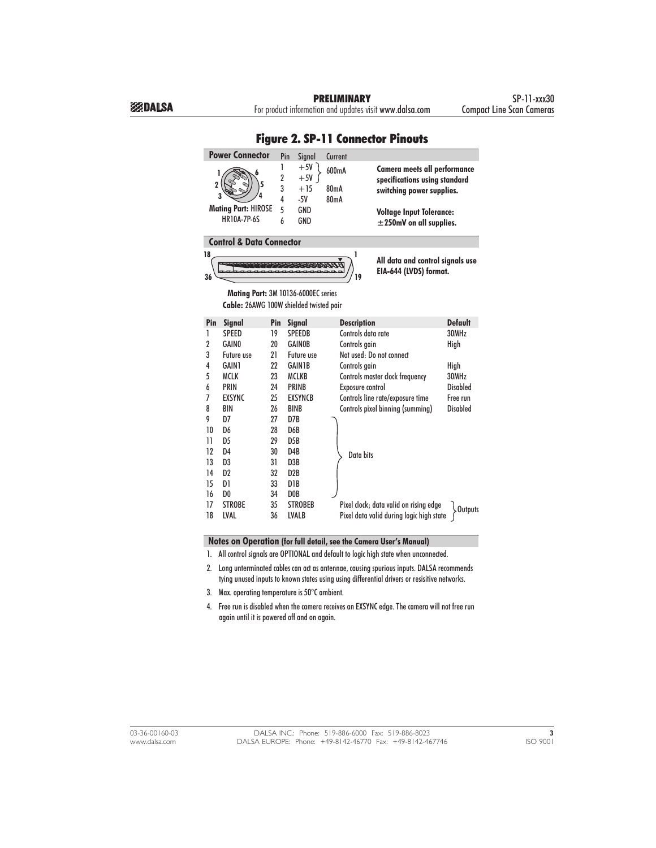PRELIMINARY SP-11-xxx30<br>Ition and updates visit www.dalsa.com Compact Line Scan Cameras

|                          | <b>Power Connector</b>                                                         |                                         | Pin<br>Signal                                  | Current                            |                                                                                                                                                               |                 |
|--------------------------|--------------------------------------------------------------------------------|-----------------------------------------|------------------------------------------------|------------------------------------|---------------------------------------------------------------------------------------------------------------------------------------------------------------|-----------------|
| 1<br>$\overline{2}$<br>3 | <b>Mating Part: HIROSE</b><br><b>HR10A-7P-6S</b>                               | 1<br>$\overline{2}$<br>3<br>4<br>5<br>6 | $+5V$<br>$+5V$<br>$+15$<br>$-5V$<br>GND<br>GND | 600mA<br>80 <sub>m</sub> A<br>80mA | Camera meets all performance<br>specifications using standard<br>switching power supplies.<br><b>Voltage Input Tolerance:</b><br>$\pm$ 250mV on all supplies. |                 |
|                          | <b>Control &amp; Data Connector</b>                                            |                                         |                                                |                                    |                                                                                                                                                               |                 |
| 18<br>36                 |                                                                                |                                         |                                                | 1<br>19                            | All data and control signals use<br>EIA-644 (LVDS) format.                                                                                                    |                 |
|                          | Mating Part: 3M 10136-6000EC series<br>Cable: 26AWG 100W shielded twisted pair |                                         |                                                |                                    |                                                                                                                                                               |                 |
| Pin                      | <b>Signal</b>                                                                  | Pin                                     | Signal                                         | <b>Description</b>                 |                                                                                                                                                               | <b>Default</b>  |
| 1                        | SPEED                                                                          | 19                                      | <b>SPEEDB</b>                                  | Controls data rate                 |                                                                                                                                                               | 30MHz           |
| 2                        | <b>GAINO</b>                                                                   | 20                                      | <b>GAINOB</b>                                  | Controls gain                      |                                                                                                                                                               | High            |
| 3                        | Future use                                                                     | 21                                      | Future use                                     |                                    | Not used: Do not connect                                                                                                                                      |                 |
| 4                        | <b>GAIN1</b>                                                                   | 22                                      | <b>GAIN1B</b>                                  | Controls gain                      |                                                                                                                                                               | High            |
| 5                        | <b>MCLK</b>                                                                    | 23                                      | <b>MCLKB</b>                                   |                                    | Controls master clock frequency                                                                                                                               | 30MHz           |
| 6                        | <b>PRIN</b>                                                                    | 24                                      | <b>PRINB</b>                                   | Exposure control                   |                                                                                                                                                               | <b>Disabled</b> |
| 7                        | <b>EXSYNC</b>                                                                  | 25                                      | <b>EXSYNCB</b>                                 |                                    | Controls line rate/exposure time                                                                                                                              | Free run        |
| 8                        | <b>BIN</b>                                                                     | 26                                      | <b>BINB</b>                                    |                                    | Controls pixel binning (summing)                                                                                                                              | <b>Disabled</b> |
| 9                        | D7                                                                             | 27                                      | D7B                                            |                                    |                                                                                                                                                               |                 |
| 10                       | D6                                                                             | 28                                      | D6B                                            |                                    |                                                                                                                                                               |                 |
| $\overline{11}$          | D <sub>5</sub>                                                                 | 29                                      | D <sub>5</sub> B                               |                                    |                                                                                                                                                               |                 |
| 12                       | D <sub>4</sub>                                                                 | 30                                      | D <sub>4</sub> B                               | Data bits                          |                                                                                                                                                               |                 |
| 13                       | D <sub>3</sub>                                                                 | 31                                      | D <sub>3</sub> B                               |                                    |                                                                                                                                                               |                 |
| 14                       | D <sub>2</sub>                                                                 | 32                                      | D <sub>2</sub> B                               |                                    |                                                                                                                                                               |                 |
| 15                       | D1                                                                             | 33                                      | D <sub>1</sub> B                               |                                    |                                                                                                                                                               |                 |
| 16                       | D <sub>0</sub>                                                                 | 34                                      | D <sub>0</sub> B                               |                                    |                                                                                                                                                               |                 |
| 17                       | <b>STROBE</b>                                                                  | 35                                      | <b>STROBEB</b>                                 |                                    | Pixel clock; data valid on rising edge                                                                                                                        | . Outputs       |
| 18                       | LVAL                                                                           | 36                                      | <b>LVALB</b>                                   |                                    | Pixel data valid during logic high state                                                                                                                      |                 |

# Figure 2. SP-11 Connector Pinouts

**Notes on Operation (for full detail, see the Camera User's Manual)**

1. All control signals are OPTIONAL and default to logic high state when unconnected.

2. Long unterminated cables can act as antennae, causing spurious inputs. DALSA recommends tying unused inputs to known states using using differential drivers or resisitive networks.

3. Max. operating temperature is 50°C ambient.

4. Free run is disabled when the camera receives an EXSYNC edge. The camera will not free run again until it is powered off and on again.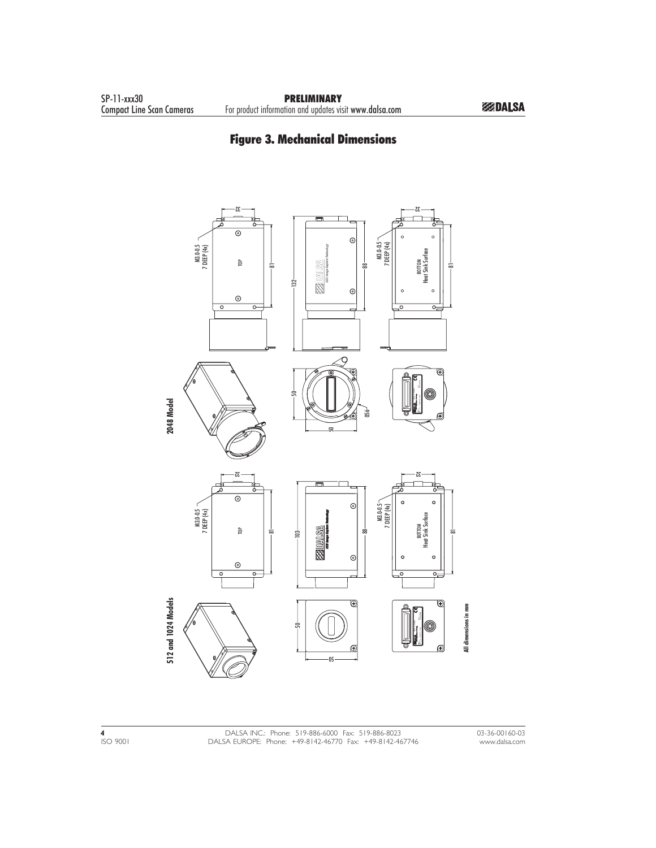# Figure 3. Mechanical Dimensions

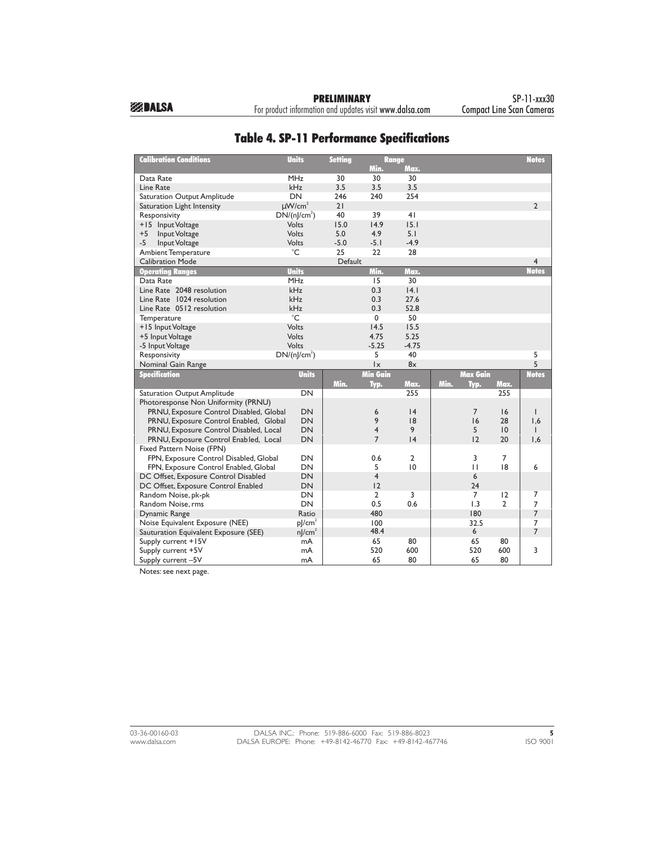For product information and updates visit www.dalsa.com

| <b>Calibration Conditions</b>           | <b>Units</b>            | <b>Setting</b> | <b>Range</b>            |                |      |                 |                 | <b>Notes</b>   |
|-----------------------------------------|-------------------------|----------------|-------------------------|----------------|------|-----------------|-----------------|----------------|
|                                         |                         |                | Min.                    | Max.           |      |                 |                 |                |
| Data Rate                               | <b>MHz</b>              | 30             | 30                      | 30             |      |                 |                 |                |
| Line Rate                               | <b>kHz</b>              | 3.5            | 3.5                     | 3.5            |      |                 |                 |                |
| Saturation Output Amplitude             | DN                      | 246            | 240                     | 254            |      |                 |                 |                |
| Saturation Light Intensity              | $\mu$ W/cm <sup>2</sup> | 21             |                         |                |      |                 |                 | $\overline{2}$ |
| Responsivity                            | $DN/(n]/cm^2)$          | 40             | 39                      | 41             |      |                 |                 |                |
| +15 Input Voltage                       | Volts                   | 15.0           | 14.9                    | 15.1           |      |                 |                 |                |
| $+5$<br>Input Voltage                   | Volts                   | 5.0            | 4.9                     | 5.1            |      |                 |                 |                |
| -5<br>Input Voltage                     | Volts                   | $-5.0$         | $-5.1$                  | $-4.9$         |      |                 |                 |                |
| <b>Ambient Temperature</b>              | °C                      | 25             | 22                      | 28             |      |                 |                 |                |
| <b>Calibration Mode</b>                 |                         | Default        |                         |                |      |                 |                 | $\overline{4}$ |
| <b>Operating Ranges</b>                 | <b>Units</b>            |                | Min.                    | Max.           |      |                 |                 | <b>Notes</b>   |
| Data Rate                               | <b>MHz</b>              |                | 15                      | 30             |      |                 |                 |                |
| Line Rate 2048 resolution               | kHz                     |                | 0.3                     | 4.1            |      |                 |                 |                |
| Line Rate 1024 resolution               | kHz                     |                | 0.3                     | 27.6           |      |                 |                 |                |
| Line Rate 0512 resolution               | kHz                     |                | 0.3                     | 52.8           |      |                 |                 |                |
| Temperature                             | $^{\circ}$ C            |                | 0                       | 50             |      |                 |                 |                |
| +15 Input Voltage                       | Volts                   |                | 14.5                    | 15.5           |      |                 |                 |                |
| +5 Input Voltage                        | Volts                   |                | 4.75                    | 5.25           |      |                 |                 |                |
| -5 Input Voltage                        | Volts                   |                | $-5.25$                 | $-4.75$        |      |                 |                 |                |
| Responsivity                            | $DN/(n]/cm^2)$          |                | 5                       | 40             |      |                 |                 | 5              |
| Nominal Gain Range                      |                         |                | $\mathsf{I}\mathsf{x}$  | 8x             |      |                 |                 | 5              |
| <b>Specification</b>                    | <b>Units</b>            |                | <b>Min Gain</b>         |                |      | <b>Max Gain</b> |                 | <b>Notes</b>   |
|                                         |                         | Min.           | Typ.                    | Max.           | Min. | Typ.            | Max.            |                |
| Saturation Output Amplitude             | DN                      |                |                         | 255            |      |                 | 255             |                |
| Photoresponse Non Uniformity (PRNU)     |                         |                |                         |                |      |                 |                 |                |
| PRNU, Exposure Control Disabled, Global | DN                      |                | 6                       | 4              |      | $\overline{7}$  | 16              | $\mathbf{I}$   |
| PRNU, Exposure Control Enabled, Global  | DN                      |                | 9                       | 18             |      | 16              | 28              | 1,6            |
| PRNU, Exposure Control Disabled, Local  | DN                      |                | $\overline{\mathbf{4}}$ | 9              |      | 5               | $\overline{10}$ | $\mathbf{I}$   |
| PRNU, Exposure Control Enabled, Local   | <b>DN</b>               |                | $\overline{7}$          | 4              |      | 12              | 20              | 1,6            |
| Fixed Pattern Noise (FPN)               |                         |                |                         |                |      |                 |                 |                |
| FPN, Exposure Control Disabled, Global  | DN                      |                | 0.6                     | $\overline{2}$ |      | 3               | 7               |                |
| FPN, Exposure Control Enabled, Global   | DN                      |                | 5                       | 10             |      | $\mathbf{H}$    | 18              | 6              |
| DC Offset, Exposure Control Disabled    | DN                      |                | $\overline{\mathbf{4}}$ |                |      | 6               |                 |                |
| DC Offset, Exposure Control Enabled     | <b>DN</b>               |                | 12                      |                |      | 24              |                 |                |
| Random Noise, pk-pk                     | DN                      |                | $\overline{2}$          | 3              |      | $\overline{7}$  | 12              | 7              |
| Random Noise, rms                       | DN                      |                | 0.5                     | 0.6            |      | 1.3             | 2               | $\overline{7}$ |
| Dynamic Range                           | Ratio                   |                | 480                     |                |      | 180             |                 | $\overline{7}$ |
| Noise Equivalent Exposure (NEE)         | $p$ /cm <sup>2</sup>    |                | 100                     |                |      | 32.5            |                 | 7              |
| Sauturation Equivalent Exposure (SEE)   | $n$ /cm <sup>2</sup>    |                | 48.4                    |                |      | 6               |                 | $\overline{7}$ |
| Supply current +15V                     | mA                      |                | 65                      | 80             |      | 65              | 80              |                |
| Supply current +5V                      | mA                      |                | 520                     | 600            |      | 520             | 600             | 3              |
| Supply current -5V                      | mA                      |                | 65                      | 80             |      | 65              | 80              |                |

# Table 4. SP-11 Performance Specifications

Notes: see next page.